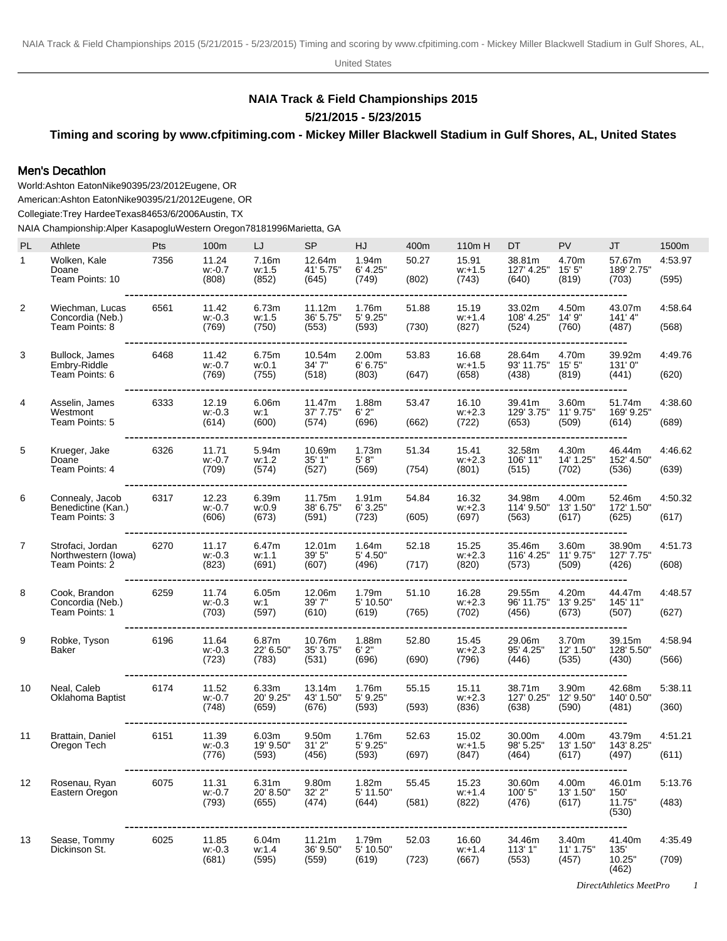United States

## **NAIA Track & Field Championships 2015 5/21/2015 - 5/23/2015**

## **Timing and scoring by www.cfpitiming.com - Mickey Miller Blackwell Stadium in Gulf Shores, AL, United States**

## Men's Decathlon

World: Ashton Eaton Nike 9039 5/23/2012 Eugene, OR American: Ashton Eaton Nike 9039 5/21/2012 Eugene, OR Collegiate: Trey Hardee Texas 8465 3/6/2006 Austin, TX NAIA Championship: Alper Kasapoglu Western Oregon 7818 1996Marietta, GA

| PL             | Athlete                                                   | Pts  | 100m                        | LJ                          | <b>SP</b>                    | HJ                           | 400m           | 110m H                      | DT                            | PV                          | <b>JT</b>                                | 1500m            |
|----------------|-----------------------------------------------------------|------|-----------------------------|-----------------------------|------------------------------|------------------------------|----------------|-----------------------------|-------------------------------|-----------------------------|------------------------------------------|------------------|
| $\mathbf{1}$   | Wolken, Kale<br>Doane<br>Team Points: 10                  | 7356 | 11.24<br>w: 0.7<br>(808)    | 7.16m<br>w:1.5<br>(852)     | 12.64m<br>41' 5.75"          | 1.94m<br>6' 4.25"<br>(749)   | 50.27<br>(802) | 15.91<br>$w: +1.5$<br>(743) | 38.81m<br>127' 4.25"<br>(640) | 4.70m<br>15'5''<br>(819)    | 57.67m<br>189' 2.75"<br>(703)            | 4:53.97<br>(595) |
|                |                                                           |      |                             |                             | (645)                        |                              |                |                             |                               |                             |                                          |                  |
| 2              | Wiechman, Lucas<br>Concordia (Neb.)<br>Team Points: 8     | 6561 | 11.42<br>$w: -0.3$<br>(769) | 6.73m<br>w:1.5<br>(750)     | 11.12m<br>36' 5.75"<br>(553) | 1.76m<br>5' 9.25"<br>(593)   | 51.88<br>(730) | 15.19<br>$w.+1.4$<br>(827)  | 33.02m<br>108' 4.25"<br>(524) | 4.50m<br>14' 9"<br>(760)    | 43.07m<br>141'4"<br>(487)                | 4:58.64<br>(568) |
| 3              | Bullock, James<br>Embry-Riddle<br>Team Points: 6          | 6468 | 11.42<br>w: 0.7<br>(769)    | 6.75m<br>w.0.1<br>(755)     | 10.54m<br>34' 7"<br>(518)    | 2.00m<br>6' 6.75''<br>(803)  | 53.83<br>(647) | 16.68<br>$w: +1.5$<br>(658) | 28.64m<br>93' 11.75"<br>(438) | 4.70m<br>15' 5"<br>(819)    | 39.92m<br>131'0"<br>(441)                | 4:49.76<br>(620) |
| 4              | Asselin, James<br>Westmont<br>Team Points: 5              | 6333 | 12.19<br>$w: -0.3$<br>(614) | 6.06m<br>w:1<br>(600)       | 11.47m<br>37' 7.75"<br>(574) | 1.88m<br>6'2"<br>(696)       | 53.47<br>(662) | 16.10<br>$w.+2.3$<br>(722)  | 39.41m<br>129' 3.75"<br>(653) | 3.60m<br>11' 9.75"<br>(509) | 51.74m<br>169' 9.25"<br>(614)            | 4:38.60<br>(689) |
| 5              | Krueger, Jake<br>Doane<br>Team Points: 4                  | 6326 | 11.71<br>$w: -0.7$<br>(709) | 5.94m<br>w:1.2<br>(574)     | 10.69m<br>35' 1"<br>(527)    | 1.73m<br>5' 8''<br>(569)     | 51.34<br>(754) | 15.41<br>$W.+2.3$<br>(801)  | 32.58m<br>106' 11"<br>(515)   | 4.30m<br>14' 1.25"<br>(702) | 46.44m<br>152' 4.50"<br>(536)            | 4:46.62<br>(639) |
| 6              | Connealy, Jacob<br>Benedictine (Kan.)<br>Team Points: 3   | 6317 | 12.23<br>w: 0.7<br>(606)    | 6.39m<br>w:0.9<br>(673)     | 11.75m<br>38' 6.75"<br>(591) | 1.91m<br>6' 3.25"<br>(723)   | 54.84<br>(605) | 16.32<br>$w.+2.3$<br>(697)  | 34.98m<br>114' 9.50"<br>(563) | 4.00m<br>13' 1.50"<br>(617) | 52.46m<br>172' 1.50"<br>(625)            | 4:50.32<br>(617) |
| $\overline{7}$ | Strofaci, Jordan<br>Northwestern (lowa)<br>Team Points: 2 | 6270 | 11.17<br>$w: -0.3$<br>(823) | 6.47m<br>w:1.1<br>(691)     | 12.01m<br>39' 5"<br>(607)    | 1.64m<br>5' 4.50"<br>(496)   | 52.18<br>(717) | 15.25<br>$w: +2.3$<br>(820) | 35.46m<br>116' 4.25"<br>(573) | 3.60m<br>11' 9.75"<br>(509) | 38.90m<br>127' 7.75"<br>(426)            | 4:51.73<br>(608) |
| 8              | Cook, Brandon<br>Concordia (Neb.)<br>Team Points: 1       | 6259 | 11.74<br>$w: -0.3$<br>(703) | 6.05m<br>w:1<br>(597)       | 12.06m<br>39'7"<br>(610)     | 1.79m<br>5' 10.50"<br>(619)  | 51.10<br>(765) | 16.28<br>$W.+2.3$<br>(702)  | 29.55m<br>96' 11.75"<br>(456) | 4.20m<br>13' 9.25"<br>(673) | 44.47m<br>145' 11"<br>(507)              | 4:48.57<br>(627) |
| 9              | Robke, Tyson<br>Baker                                     | 6196 | 11.64<br>w: 0.3<br>(723)    | 6.87m<br>22' 6.50"<br>(783) | 10.76m<br>35' 3.75"<br>(531) | 1.88m<br>6'2"<br>(696)       | 52.80<br>(690) | 15.45<br>$w.+2.3$<br>(796)  | 29.06m<br>95' 4.25"<br>(446)  | 3.70m<br>12' 1.50"<br>(535) | 39.15m<br>128' 5.50"<br>(430)            | 4:58.94<br>(566) |
| 10             | Neal, Caleb<br>Oklahoma Baptist                           | 6174 | 11.52<br>$w: -0.7$<br>(748) | 6.33m<br>20' 9.25"<br>(659) | 13.14m<br>43' 1.50"<br>(676) | 1.76m<br>5' 9.25"<br>(593)   | 55.15<br>(593) | 15.11<br>$w.+2.3$<br>(836)  | 38.71m<br>127' 0.25"<br>(638) | 3.90m<br>12' 9.50"<br>(590) | 42.68m<br>140' 0.50"<br>(481)            | 5:38.11<br>(360) |
| 11             | Brattain, Daniel<br>Oregon Tech                           | 6151 | 11.39<br>$w: -0.3$<br>(776) | 6.03m<br>19' 9.50"<br>(593) | 9.50m<br>31'2"<br>(456)      | 1.76m<br>$5'$ 9.25"<br>(593) | 52.63<br>(697) | 15.02<br>$w: +1.5$<br>(847) | 30.00m<br>98' 5.25"<br>(464)  | 4.00m<br>13' 1.50"<br>(617) | 43.79m<br>143' 8.25"<br>(497)            | 4:51.21<br>(611) |
| 12             | Rosenau, Ryan<br>Eastern Oregon                           | 6075 | 11.31<br>w: 0.7<br>(793)    | 6.31m<br>20' 8.50"<br>(655) | 9.80m<br>32' 2"<br>(474)     | 1.82m<br>5' 11.50"<br>(644)  | 55.45<br>(581) | 15.23<br>$W + 1.4$<br>(822) | 30.60m<br>100' 5"<br>(476)    | 4.00m<br>13' 1.50"<br>(617) | 46.01m<br>150<br>11.75"<br>(530)         | 5:13.76<br>(483) |
| 13             | Sease, Tommy<br>Dickinson St.                             | 6025 | 11.85<br>$w = 0.3$<br>(681) | 6.04m<br>w:1.4<br>(595)     | 11.21m<br>36' 9.50"<br>(559) | 1.79m<br>5' 10.50"<br>(619)  | 52.03<br>(723) | 16.60<br>$w + 1.4$<br>(667) | 34.46m<br>113' 1"<br>(553)    | 3.40m<br>11' 1.75"<br>(457) | ---<br>41.40m<br>135'<br>10.25"<br>(462) | 4:35.49<br>(709) |